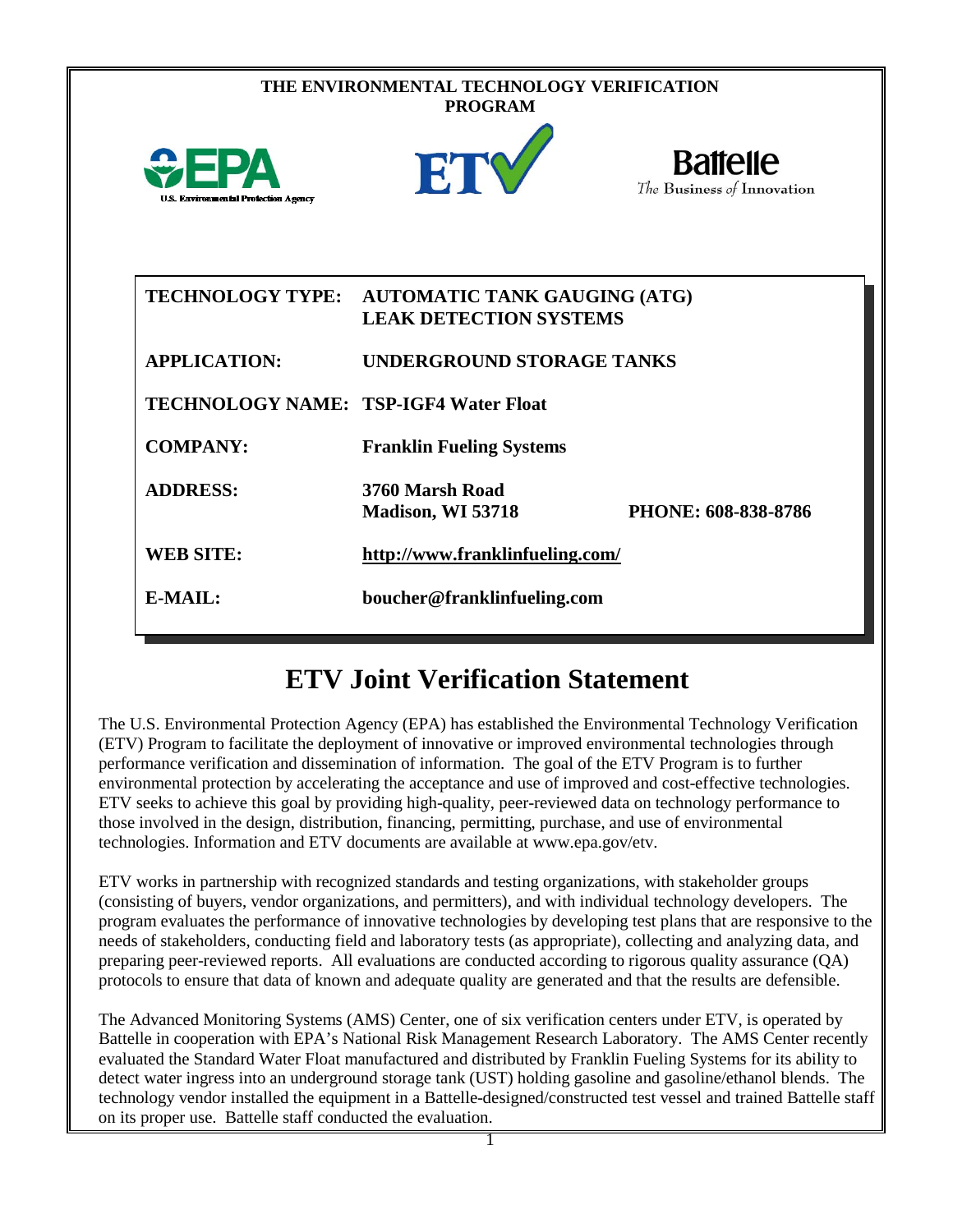| THE ENVIRONMENTAL TECHNOLOGY VERIFICATION<br><b>PROGRAM</b> |                                                                      |                                               |
|-------------------------------------------------------------|----------------------------------------------------------------------|-----------------------------------------------|
| <b>U.S. Environmental Protection Agency</b>                 | ETV                                                                  | <b>Battelle</b><br>The Business of Innovation |
| <b>TECHNOLOGY TYPE:</b>                                     | <b>AUTOMATIC TANK GAUGING (ATG)</b><br><b>LEAK DETECTION SYSTEMS</b> |                                               |
| <b>APPLICATION:</b>                                         | <b>UNDERGROUND STORAGE TANKS</b>                                     |                                               |
| <b>TECHNOLOGY NAME: TSP-IGF4 Water Float</b>                |                                                                      |                                               |
| <b>COMPANY:</b>                                             | <b>Franklin Fueling Systems</b>                                      |                                               |
| <b>ADDRESS:</b>                                             | 3760 Marsh Road<br>Madison, WI 53718                                 | PHONE: 608-838-8786                           |
| <b>WEB SITE:</b>                                            | http://www.franklinfueling.com/                                      |                                               |
| E-MAIL:                                                     | boucher@franklinfueling.com                                          |                                               |

# **ETV Joint Verification Statement**

The U.S. Environmental Protection Agency (EPA) has established the Environmental Technology Verification (ETV) Program to facilitate the deployment of innovative or improved environmental technologies through performance verification and dissemination of information. The goal of the ETV Program is to further environmental protection by accelerating the acceptance and use of improved and cost-effective technologies. ETV seeks to achieve this goal by providing high-quality, peer-reviewed data on technology performance to those involved in the design, distribution, financing, permitting, purchase, and use of environmental technologies. Information and ETV documents are available at www.epa.gov/etv.

ETV works in partnership with recognized standards and testing organizations, with stakeholder groups (consisting of buyers, vendor organizations, and permitters), and with individual technology developers. The program evaluates the performance of innovative technologies by developing test plans that are responsive to the needs of stakeholders, conducting field and laboratory tests (as appropriate), collecting and analyzing data, and preparing peer-reviewed reports. All evaluations are conducted according to rigorous quality assurance (QA) protocols to ensure that data of known and adequate quality are generated and that the results are defensible.

The Advanced Monitoring Systems (AMS) Center, one of six verification centers under ETV, is operated by Battelle in cooperation with EPA's National Risk Management Research Laboratory. The AMS Center recently evaluated the Standard Water Float manufactured and distributed by Franklin Fueling Systems for its ability to detect water ingress into an underground storage tank (UST) holding gasoline and gasoline/ethanol blends. The technology vendor installed the equipment in a Battelle-designed/constructed test vessel and trained Battelle staff on its proper use. Battelle staff conducted the evaluation.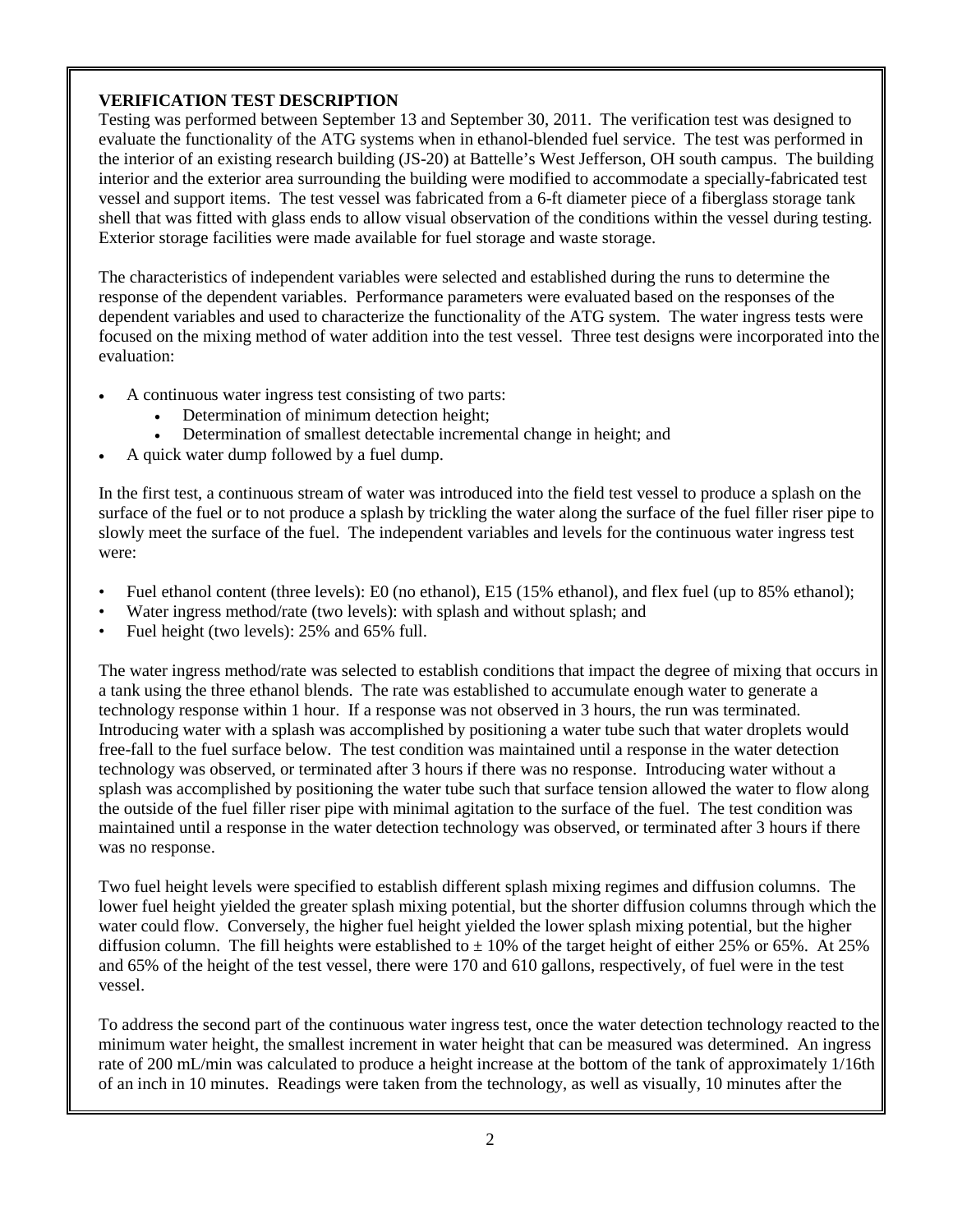## **VERIFICATION TEST DESCRIPTION**

Testing was performed between September 13 and September 30, 2011. The verification test was designed to evaluate the functionality of the ATG systems when in ethanol-blended fuel service. The test was performed in the interior of an existing research building (JS-20) at Battelle's West Jefferson, OH south campus. The building interior and the exterior area surrounding the building were modified to accommodate a specially-fabricated test vessel and support items. The test vessel was fabricated from a 6-ft diameter piece of a fiberglass storage tank shell that was fitted with glass ends to allow visual observation of the conditions within the vessel during testing. Exterior storage facilities were made available for fuel storage and waste storage.

The characteristics of independent variables were selected and established during the runs to determine the response of the dependent variables. Performance parameters were evaluated based on the responses of the dependent variables and used to characterize the functionality of the ATG system. The water ingress tests were focused on the mixing method of water addition into the test vessel. Three test designs were incorporated into the evaluation:

- A continuous water ingress test consisting of two parts:
	- Determination of minimum detection height;
	- Determination of smallest detectable incremental change in height; and
- A quick water dump followed by a fuel dump.

In the first test, a continuous stream of water was introduced into the field test vessel to produce a splash on the surface of the fuel or to not produce a splash by trickling the water along the surface of the fuel filler riser pipe to slowly meet the surface of the fuel. The independent variables and levels for the continuous water ingress test were:

- Fuel ethanol content (three levels): E0 (no ethanol), E15 (15% ethanol), and flex fuel (up to 85% ethanol);
- Water ingress method/rate (two levels): with splash and without splash; and
- Fuel height (two levels): 25% and 65% full.

The water ingress method/rate was selected to establish conditions that impact the degree of mixing that occurs in a tank using the three ethanol blends. The rate was established to accumulate enough water to generate a technology response within 1 hour. If a response was not observed in 3 hours, the run was terminated. Introducing water with a splash was accomplished by positioning a water tube such that water droplets would free-fall to the fuel surface below. The test condition was maintained until a response in the water detection technology was observed, or terminated after 3 hours if there was no response. Introducing water without a splash was accomplished by positioning the water tube such that surface tension allowed the water to flow along the outside of the fuel filler riser pipe with minimal agitation to the surface of the fuel. The test condition was maintained until a response in the water detection technology was observed, or terminated after 3 hours if there was no response.

Two fuel height levels were specified to establish different splash mixing regimes and diffusion columns. The lower fuel height yielded the greater splash mixing potential, but the shorter diffusion columns through which the water could flow. Conversely, the higher fuel height yielded the lower splash mixing potential, but the higher diffusion column. The fill heights were established to  $\pm$  10% of the target height of either 25% or 65%. At 25% and 65% of the height of the test vessel, there were 170 and 610 gallons, respectively, of fuel were in the test vessel.

To address the second part of the continuous water ingress test, once the water detection technology reacted to the minimum water height, the smallest increment in water height that can be measured was determined. An ingress rate of 200 mL/min was calculated to produce a height increase at the bottom of the tank of approximately 1/16th of an inch in 10 minutes. Readings were taken from the technology, as well as visually, 10 minutes after the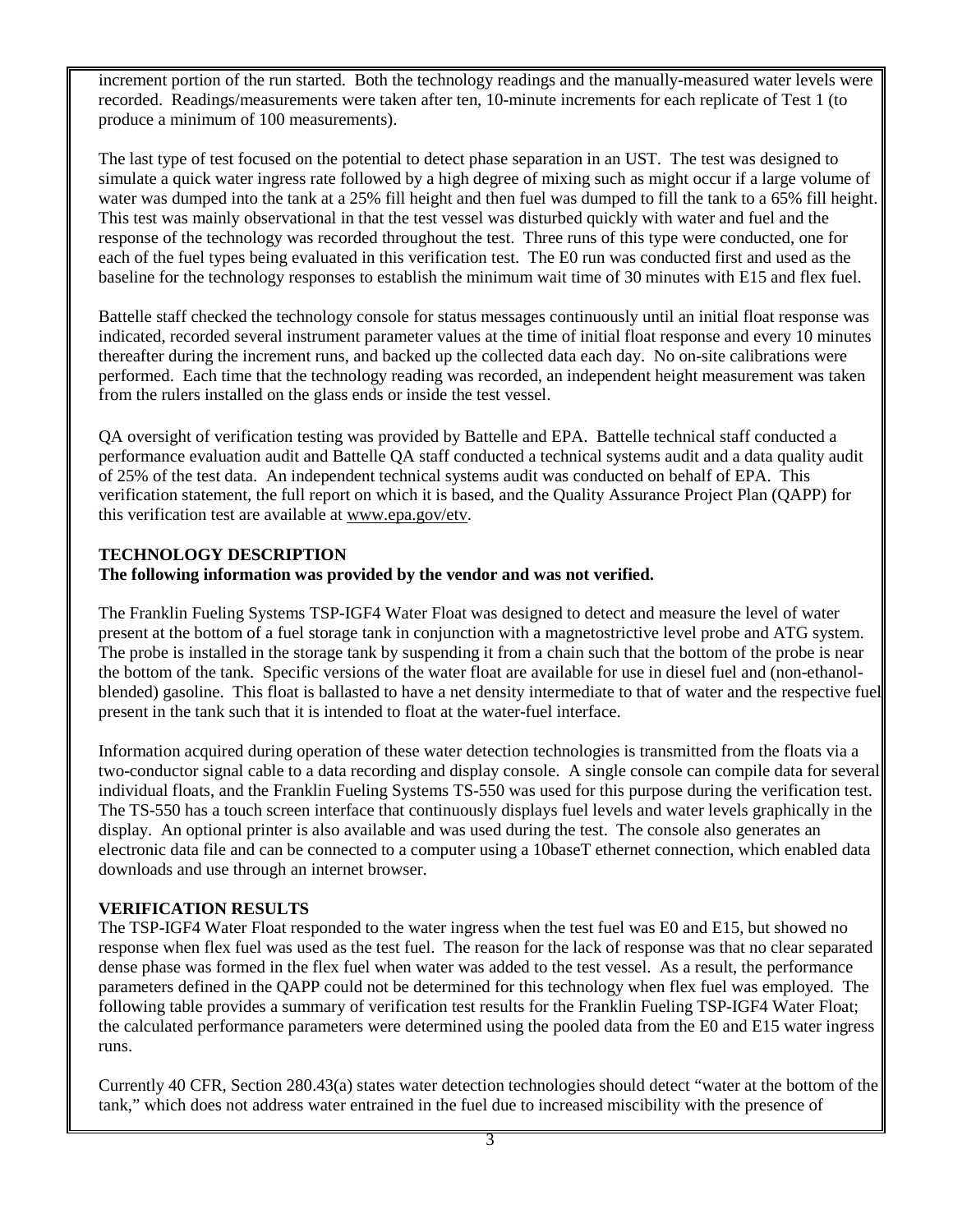increment portion of the run started. Both the technology readings and the manually-measured water levels were recorded. Readings/measurements were taken after ten, 10-minute increments for each replicate of Test 1 (to produce a minimum of 100 measurements).

The last type of test focused on the potential to detect phase separation in an UST. The test was designed to simulate a quick water ingress rate followed by a high degree of mixing such as might occur if a large volume of water was dumped into the tank at a 25% fill height and then fuel was dumped to fill the tank to a 65% fill height. This test was mainly observational in that the test vessel was disturbed quickly with water and fuel and the response of the technology was recorded throughout the test. Three runs of this type were conducted, one for each of the fuel types being evaluated in this verification test. The E0 run was conducted first and used as the baseline for the technology responses to establish the minimum wait time of 30 minutes with E15 and flex fuel.

Battelle staff checked the technology console for status messages continuously until an initial float response was indicated, recorded several instrument parameter values at the time of initial float response and every 10 minutes thereafter during the increment runs, and backed up the collected data each day. No on-site calibrations were performed. Each time that the technology reading was recorded, an independent height measurement was taken from the rulers installed on the glass ends or inside the test vessel.

QA oversight of verification testing was provided by Battelle and EPA. Battelle technical staff conducted a performance evaluation audit and Battelle QA staff conducted a technical systems audit and a data quality audit of 25% of the test data. An independent technical systems audit was conducted on behalf of EPA. This verification statement, the full report on which it is based, and the Quality Assurance Project Plan (QAPP) for this verification test are available at [www.epa.gov/etv.](http://www.epa.gov/etv)

## **TECHNOLOGY DESCRIPTION**

### **The following information was provided by the vendor and was not verified.**

The Franklin Fueling Systems TSP-IGF4 Water Float was designed to detect and measure the level of water present at the bottom of a fuel storage tank in conjunction with a magnetostrictive level probe and ATG system. The probe is installed in the storage tank by suspending it from a chain such that the bottom of the probe is near the bottom of the tank. Specific versions of the water float are available for use in diesel fuel and (non-ethanolblended) gasoline. This float is ballasted to have a net density intermediate to that of water and the respective fuel present in the tank such that it is intended to float at the water-fuel interface.

Information acquired during operation of these water detection technologies is transmitted from the floats via a two-conductor signal cable to a data recording and display console. A single console can compile data for several individual floats, and the Franklin Fueling Systems TS-550 was used for this purpose during the verification test. The TS-550 has a touch screen interface that continuously displays fuel levels and water levels graphically in the display. An optional printer is also available and was used during the test. The console also generates an electronic data file and can be connected to a computer using a 10baseT ethernet connection, which enabled data downloads and use through an internet browser.

### **VERIFICATION RESULTS**

The TSP-IGF4 Water Float responded to the water ingress when the test fuel was E0 and E15, but showed no response when flex fuel was used as the test fuel. The reason for the lack of response was that no clear separated dense phase was formed in the flex fuel when water was added to the test vessel. As a result, the performance parameters defined in the QAPP could not be determined for this technology when flex fuel was employed. The following table provides a summary of verification test results for the Franklin Fueling TSP-IGF4 Water Float; the calculated performance parameters were determined using the pooled data from the E0 and E15 water ingress runs.

Currently 40 CFR, Section 280.43(a) states water detection technologies should detect "water at the bottom of the tank," which does not address water entrained in the fuel due to increased miscibility with the presence of